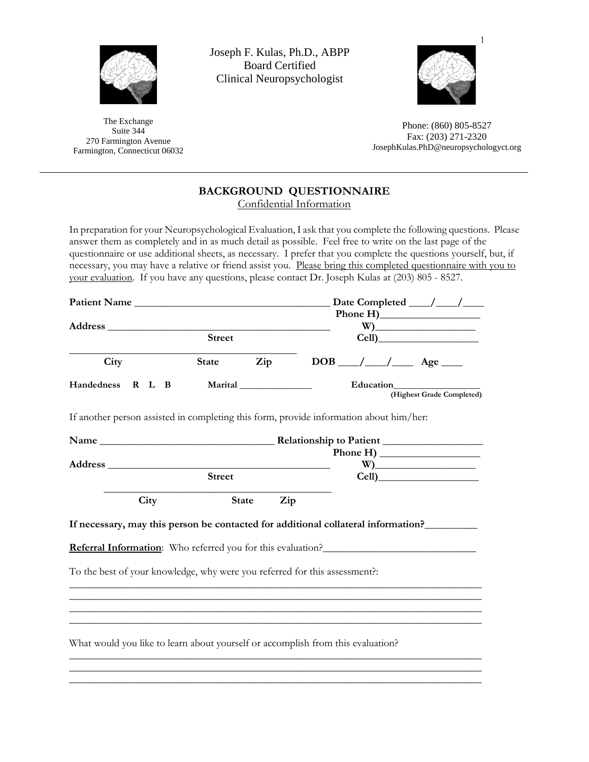

The Exchange Suite 344 270 Farmington Avenue Farmington, Connecticut 06032 Joseph F. Kulas, Ph.D., ABPP Board Certified Clinical Neuropsychologist



Phone: (860) 805-8527 Fax: (203) 271-2320 JosephKulas.PhD@neuropsychologyct.org

# **BACKGROUND QUESTIONNAIRE**

Confidential Information

In preparation for your Neuropsychological Evaluation, I ask that you complete the following questions. Please answer them as completely and in as much detail as possible. Feel free to write on the last page of the questionnaire or use additional sheets, as necessary. I prefer that you complete the questions yourself, but, if necessary, you may have a relative or friend assist you. Please bring this completed questionnaire with you to your evaluation. If you have any questions, please contact Dr. Joseph Kulas at (203) 805 - 8527.

| Patient Name                                                                           |               |      |  |  |               |              |         |  |     |  |  |  |  |                         |  |  |  |  | Date Completed $\_\_\_\_\_\_\_\_\_\_\_\$ |                           |
|----------------------------------------------------------------------------------------|---------------|------|--|--|---------------|--------------|---------|--|-----|--|--|--|--|-------------------------|--|--|--|--|------------------------------------------|---------------------------|
|                                                                                        |               |      |  |  |               |              |         |  |     |  |  |  |  |                         |  |  |  |  |                                          |                           |
|                                                                                        |               |      |  |  |               |              |         |  |     |  |  |  |  |                         |  |  |  |  |                                          |                           |
|                                                                                        |               |      |  |  | <b>Street</b> |              |         |  |     |  |  |  |  |                         |  |  |  |  | Cell)                                    |                           |
| City                                                                                   |               |      |  |  | State         |              | Zip     |  |     |  |  |  |  | $DOB$ __/ __/ __ Age __ |  |  |  |  |                                          |                           |
| Handedness                                                                             | R L B         |      |  |  |               |              | Marital |  |     |  |  |  |  | Education               |  |  |  |  |                                          | (Highest Grade Completed) |
| If another person assisted in completing this form, provide information about him/her: |               |      |  |  |               |              |         |  |     |  |  |  |  |                         |  |  |  |  |                                          |                           |
|                                                                                        |               |      |  |  |               |              |         |  |     |  |  |  |  |                         |  |  |  |  |                                          |                           |
|                                                                                        |               |      |  |  |               |              |         |  |     |  |  |  |  |                         |  |  |  |  |                                          |                           |
| <b>Address</b>                                                                         |               |      |  |  |               |              |         |  |     |  |  |  |  |                         |  |  |  |  | $W$ )                                    |                           |
|                                                                                        | <b>Street</b> |      |  |  |               |              |         |  |     |  |  |  |  |                         |  |  |  |  |                                          |                           |
|                                                                                        |               | City |  |  |               | <b>State</b> |         |  | Zip |  |  |  |  |                         |  |  |  |  |                                          |                           |
| If necessary, may this person be contacted for additional collateral information?      |               |      |  |  |               |              |         |  |     |  |  |  |  |                         |  |  |  |  |                                          |                           |
| <b>Referral Information</b> : Who referred you for this evaluation?                    |               |      |  |  |               |              |         |  |     |  |  |  |  |                         |  |  |  |  |                                          |                           |
| To the best of your knowledge, why were you referred for this assessment?:             |               |      |  |  |               |              |         |  |     |  |  |  |  |                         |  |  |  |  |                                          |                           |
|                                                                                        |               |      |  |  |               |              |         |  |     |  |  |  |  |                         |  |  |  |  |                                          |                           |
| What would you like to learn about yourself or accomplish from this evaluation?        |               |      |  |  |               |              |         |  |     |  |  |  |  |                         |  |  |  |  |                                          |                           |
|                                                                                        |               |      |  |  |               |              |         |  |     |  |  |  |  |                         |  |  |  |  |                                          |                           |

\_\_\_\_\_\_\_\_\_\_\_\_\_\_\_\_\_\_\_\_\_\_\_\_\_\_\_\_\_\_\_\_\_\_\_\_\_\_\_\_\_\_\_\_\_\_\_\_\_\_\_\_\_\_\_\_\_\_\_\_\_\_\_\_\_\_\_\_\_\_\_\_\_\_\_\_\_\_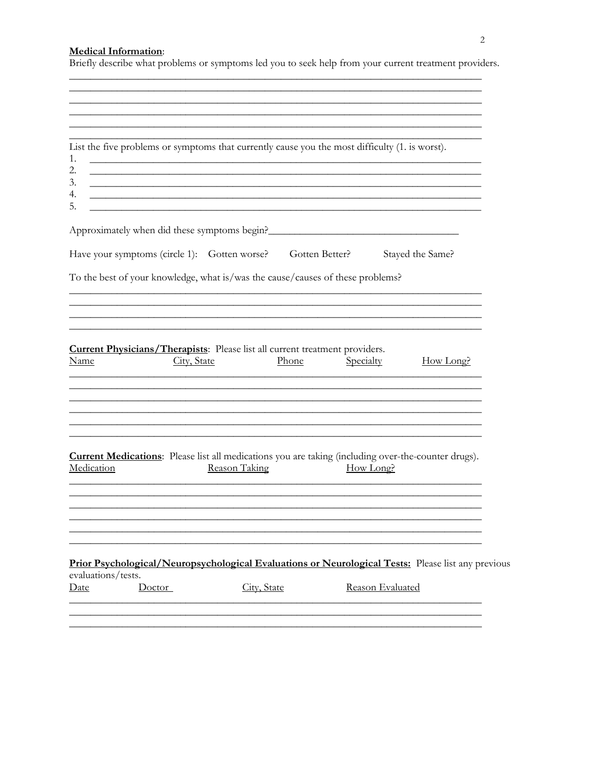## **Medical Information:**

Briefly describe what problems or symptoms led you to seek help from your current treatment providers.

<u> 1989 - Johann Stoff, amerikansk politiker (d. 1989)</u>

| List the five problems or symptoms that currently cause you the most difficulty (1. is worst).<br>1.<br>2.<br>3.<br>4.         |                                                                                  |             |                  |                                                                                                                      |
|--------------------------------------------------------------------------------------------------------------------------------|----------------------------------------------------------------------------------|-------------|------------------|----------------------------------------------------------------------------------------------------------------------|
| 5.<br>Approximately when did these symptoms begin?                                                                             | ,我们也不会有什么。""我们的人,我们也不会有什么?""我们的人,我们也不会有什么?""我们的人,我们的人,我们也不会有什么?""我们的人,我们的人,我们也不会 |             |                  | <u> 1989 - Johann Barbara, martin amerikan basar dan berasal dalam basa dalam basar dalam basar dalam basar dala</u> |
| Have your symptoms (circle 1): Gotten worse?<br>To the best of your knowledge, what is/was the cause/causes of these problems? |                                                                                  |             | Gotten Better?   | Stayed the Same?                                                                                                     |
|                                                                                                                                |                                                                                  |             |                  |                                                                                                                      |
| <b>Current Physicians/Therapists:</b> Please list all current treatment providers.<br>Name                                     | City, State                                                                      | Phone       | Specialty        | How Long?                                                                                                            |
| Medication                                                                                                                     | Reason Taking                                                                    |             | How Long?        | <b>Current Medications:</b> Please list all medications you are taking (including over-the-counter drugs).           |
|                                                                                                                                |                                                                                  |             |                  |                                                                                                                      |
| evaluations/tests.<br><b>Date</b><br>Doctor                                                                                    |                                                                                  | City, State | Reason Evaluated | Prior Psychological/Neuropsychological Evaluations or Neurological Tests: Please list any previous                   |
|                                                                                                                                |                                                                                  |             |                  |                                                                                                                      |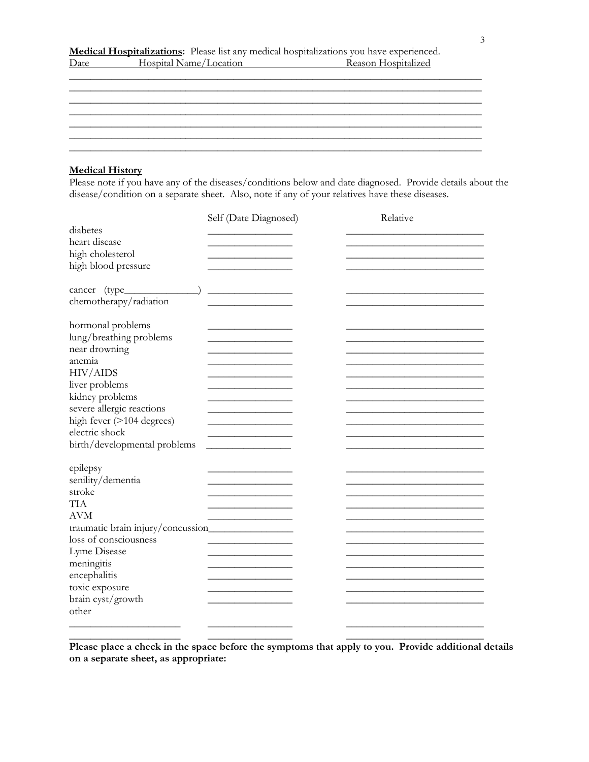|      |                        | <b>Medical Hospitalizations:</b> Please list any medical hospitalizations you have experienced. |
|------|------------------------|-------------------------------------------------------------------------------------------------|
| Date | Hospital Name/Location | Reason Hospitalized                                                                             |

\_\_\_\_\_\_\_\_\_\_\_\_\_\_\_\_\_\_\_\_\_\_\_\_\_\_\_\_\_\_\_\_\_\_\_\_\_\_\_\_\_\_\_\_\_\_\_\_\_\_\_\_\_\_\_\_\_\_\_\_\_\_\_\_\_\_\_\_\_\_\_\_\_\_\_\_\_\_

\_\_\_\_\_\_\_\_\_\_\_\_\_\_\_\_\_\_\_\_\_\_\_\_\_\_\_\_\_\_\_\_\_\_\_\_\_\_\_\_\_\_\_\_\_\_\_\_\_\_\_\_\_\_\_\_\_\_\_\_\_\_\_\_\_\_\_\_\_\_\_\_\_\_\_\_\_\_  $\mathcal{L}_\text{max}$  and the contract of the contract of the contract of the contract of the contract of the contract of the contract of the contract of the contract of the contract of the contract of the contract of the contrac \_\_\_\_\_\_\_\_\_\_\_\_\_\_\_\_\_\_\_\_\_\_\_\_\_\_\_\_\_\_\_\_\_\_\_\_\_\_\_\_\_\_\_\_\_\_\_\_\_\_\_\_\_\_\_\_\_\_\_\_\_\_\_\_\_\_\_\_\_\_\_\_\_\_\_\_\_\_ \_\_\_\_\_\_\_\_\_\_\_\_\_\_\_\_\_\_\_\_\_\_\_\_\_\_\_\_\_\_\_\_\_\_\_\_\_\_\_\_\_\_\_\_\_\_\_\_\_\_\_\_\_\_\_\_\_\_\_\_\_\_\_\_\_\_\_\_\_\_\_\_\_\_\_\_\_\_ \_\_\_\_\_\_\_\_\_\_\_\_\_\_\_\_\_\_\_\_\_\_\_\_\_\_\_\_\_\_\_\_\_\_\_\_\_\_\_\_\_\_\_\_\_\_\_\_\_\_\_\_\_\_\_\_\_\_\_\_\_\_\_\_\_\_\_\_\_\_\_\_\_\_\_\_\_\_

#### **Medical History**

Please note if you have any of the diseases/conditions below and date diagnosed. Provide details about the disease/condition on a separate sheet. Also, note if any of your relatives have these diseases.

|                                    | Self (Date Diagnosed) | Relative |
|------------------------------------|-----------------------|----------|
| diabetes                           |                       |          |
| heart disease                      |                       |          |
| high cholesterol                   |                       |          |
| high blood pressure                |                       |          |
|                                    |                       |          |
| cancer (type_______                |                       |          |
| chemotherapy/radiation             |                       |          |
| hormonal problems                  |                       |          |
| lung/breathing problems            |                       |          |
| near drowning                      |                       |          |
| anemia                             |                       |          |
| <b>HIV/AIDS</b>                    |                       |          |
| liver problems                     |                       |          |
| kidney problems                    |                       |          |
| severe allergic reactions          |                       |          |
| high fever (>104 degrees)          |                       |          |
| electric shock                     |                       |          |
| birth/developmental problems       |                       |          |
|                                    |                       |          |
| epilepsy                           |                       |          |
| senility/dementia                  |                       |          |
| stroke                             |                       |          |
| <b>TIA</b>                         |                       |          |
| <b>AVM</b>                         |                       |          |
| traumatic brain injury/concussion_ |                       |          |
| loss of consciousness              |                       |          |
| Lyme Disease                       |                       |          |
| meningitis                         |                       |          |
| encephalitis                       |                       |          |
| toxic exposure                     |                       |          |
| brain cyst/growth                  |                       |          |
| other                              |                       |          |
|                                    |                       |          |

**Please place a check in the space before the symptoms that apply to you. Provide additional details on a separate sheet, as appropriate:** 

**\_\_\_\_\_\_\_\_\_\_\_\_\_\_\_\_\_\_\_\_\_** \_\_\_\_\_\_\_\_\_\_\_\_\_\_\_\_ \_\_\_\_\_\_\_\_\_\_\_\_\_\_\_\_\_\_\_\_\_\_\_\_\_\_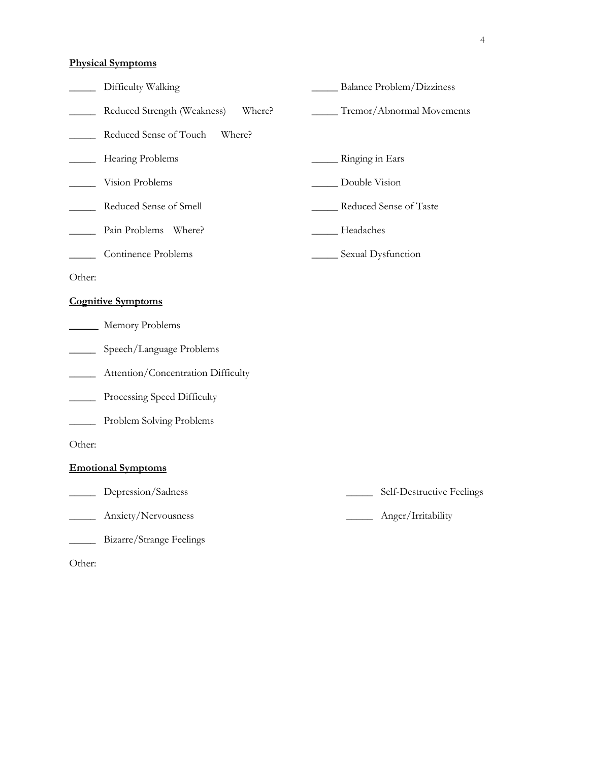## **Physical Symptoms**

|                            | Difficulty Walking                    | <b>Balance Problem/Dizziness</b> |
|----------------------------|---------------------------------------|----------------------------------|
|                            | Reduced Strength (Weakness)<br>Where? | Tremor/Abnormal Movements        |
|                            | Reduced Sense of Touch<br>Where?      |                                  |
|                            | Hearing Problems                      | Ringing in Ears                  |
|                            | Vision Problems                       | Double Vision                    |
|                            | Reduced Sense of Smell                | ___ Reduced Sense of Taste       |
|                            | Pain Problems Where?                  | Headaches                        |
|                            | Continence Problems                   | _____ Sexual Dysfunction         |
| Other:                     |                                       |                                  |
|                            | <b>Cognitive Symptoms</b>             |                                  |
|                            | Memory Problems                       |                                  |
| $\mathcal{L}(\mathcal{L})$ | Speech/Language Problems              |                                  |
|                            | Attention/Concentration Difficulty    |                                  |
|                            | Processing Speed Difficulty           |                                  |
|                            | Problem Solving Problems              |                                  |
| Other:                     |                                       |                                  |
|                            | <b>Emotional Symptoms</b>             |                                  |
|                            | Depression/Sadness                    | Self-Destructive Feelings        |
|                            | Anxiety/Nervousness                   | Anger/Irritability               |
|                            | Bizarre/Strange Feelings              |                                  |

Other: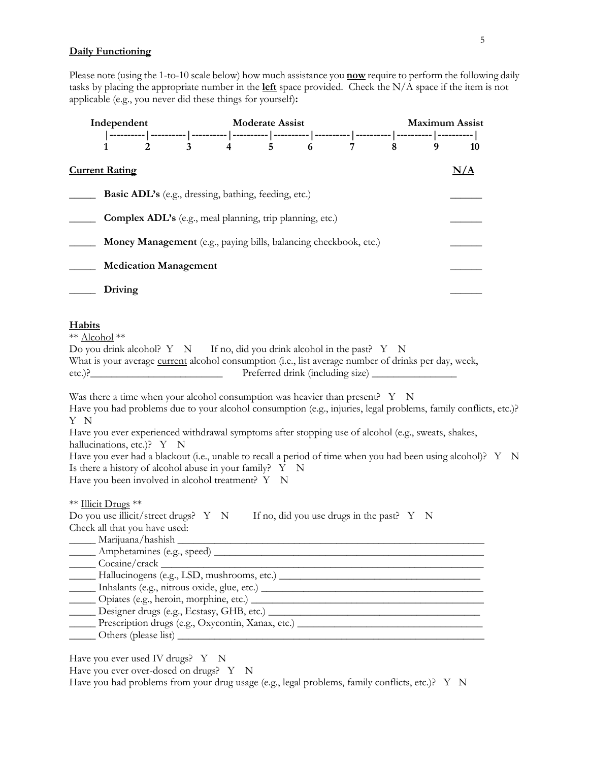### **Daily Functioning**

Please note (using the 1-to-10 scale below) how much assistance you **now** require to perform the following daily tasks by placing the appropriate number in the **left** space provided. Check the N/A space if the item is not applicable (e.g., you never did these things for yourself)**:**

| Independent<br>1 |                                                                                              |  |  |                                                                                                                                                                                                                                                                                                            |                                                    |  | <b>Maximum Assist</b> |  |                                                                                                                                                                                                                                |  |  |
|------------------|----------------------------------------------------------------------------------------------|--|--|------------------------------------------------------------------------------------------------------------------------------------------------------------------------------------------------------------------------------------------------------------------------------------------------------------|----------------------------------------------------|--|-----------------------|--|--------------------------------------------------------------------------------------------------------------------------------------------------------------------------------------------------------------------------------|--|--|
|                  |                                                                                              |  |  |                                                                                                                                                                                                                                                                                                            |                                                    |  |                       |  | 10                                                                                                                                                                                                                             |  |  |
|                  | <b>Current Rating</b>                                                                        |  |  |                                                                                                                                                                                                                                                                                                            |                                                    |  |                       |  | N/A                                                                                                                                                                                                                            |  |  |
|                  |                                                                                              |  |  | <b>Basic ADL's</b> (e.g., dressing, bathing, feeding, etc.)                                                                                                                                                                                                                                                |                                                    |  |                       |  |                                                                                                                                                                                                                                |  |  |
|                  |                                                                                              |  |  | Complex ADL's (e.g., meal planning, trip planning, etc.)                                                                                                                                                                                                                                                   |                                                    |  |                       |  |                                                                                                                                                                                                                                |  |  |
|                  |                                                                                              |  |  | Money Management (e.g., paying bills, balancing checkbook, etc.)                                                                                                                                                                                                                                           |                                                    |  |                       |  |                                                                                                                                                                                                                                |  |  |
|                  | <b>Medication Management</b>                                                                 |  |  |                                                                                                                                                                                                                                                                                                            |                                                    |  |                       |  |                                                                                                                                                                                                                                |  |  |
|                  | Driving                                                                                      |  |  |                                                                                                                                                                                                                                                                                                            |                                                    |  |                       |  |                                                                                                                                                                                                                                |  |  |
| Y N              | hallucinations, etc.)? Y N                                                                   |  |  | Was there a time when your alcohol consumption was heavier than present? $Y \times N$<br>Have you ever experienced withdrawal symptoms after stopping use of alcohol (e.g., sweats, shakes,<br>Is there a history of alcohol abuse in your family? Y N<br>Have you been involved in alcohol treatment? Y N |                                                    |  |                       |  | Have you had problems due to your alcohol consumption (e.g., injuries, legal problems, family conflicts, etc.)?<br>Have you ever had a blackout (i.e., unable to recall a period of time when you had been using alcohol)? Y N |  |  |
|                  | ** Illicit Drugs **<br>Do you use illicit/street drugs? Y N<br>Check all that you have used: |  |  |                                                                                                                                                                                                                                                                                                            | If no, did you use drugs in the past? $Y \times N$ |  |                       |  |                                                                                                                                                                                                                                |  |  |

Have you ever used IV drugs? Y N

Have you ever over-dosed on drugs? Y N

Have you had problems from your drug usage (e.g., legal problems, family conflicts, etc.)? Y N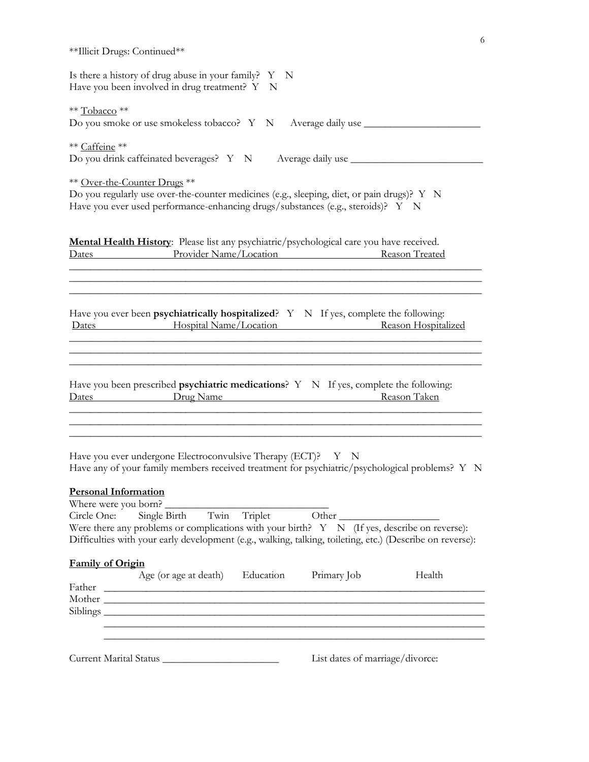|                                                                                                                                                                                                                                                                                                                                                                                                                                                                                                                                                                            | 6 |
|----------------------------------------------------------------------------------------------------------------------------------------------------------------------------------------------------------------------------------------------------------------------------------------------------------------------------------------------------------------------------------------------------------------------------------------------------------------------------------------------------------------------------------------------------------------------------|---|
| **Illicit Drugs: Continued**                                                                                                                                                                                                                                                                                                                                                                                                                                                                                                                                               |   |
| Is there a history of drug abuse in your family? $Y \ N$<br>Have you been involved in drug treatment? Y N                                                                                                                                                                                                                                                                                                                                                                                                                                                                  |   |
| ** Tobacco **<br>Do you smoke or use smokeless tobacco? Y N Average daily use ___________________                                                                                                                                                                                                                                                                                                                                                                                                                                                                          |   |
| ** Caffeine **<br>Do you drink caffeinated beverages? Y N Average daily use ______________________                                                                                                                                                                                                                                                                                                                                                                                                                                                                         |   |
| ** Over-the-Counter Drugs **<br>Do you regularly use over-the-counter medicines (e.g., sleeping, diet, or pain drugs)? Y N<br>Have you ever used performance-enhancing drugs/substances (e.g., steroids)? Y N                                                                                                                                                                                                                                                                                                                                                              |   |
| Mental Health History: Please list any psychiatric/psychological care you have received.<br>Dates Provider Name/Location Reason Treated                                                                                                                                                                                                                                                                                                                                                                                                                                    |   |
| Have you ever been psychiatrically hospitalized? $Y \times N$ If yes, complete the following:<br>Dates <b>Example 3</b> Hospital Name/Location <b>Reason</b> Hospitalized                                                                                                                                                                                                                                                                                                                                                                                                  |   |
| Have you been prescribed <b>psychiatric medications</b> ? $Y \times Y$ If yes, complete the following:<br>Dates Drug Name Reason Taken                                                                                                                                                                                                                                                                                                                                                                                                                                     |   |
| ,我们也不能在这里的时候,我们也不能在这里的时候,我们也不能会在这里的时候,我们也不能会在这里的时候,我们也不能会在这里的时候,我们也不能会在这里的时候,我们也不<br>Have you ever undergone Electroconvulsive Therapy (ECT)? Y N<br>Have any of your family members received treatment for psychiatric/psychological problems? Y N<br><b>Personal Information</b><br>Where were you born?<br>Circle One: Single Birth Twin Triplet Other<br>Were there any problems or complications with your birth? $Y \ N$ (If yes, describe on reverse):<br>Difficulties with your early development (e.g., walking, talking, toileting, etc.) (Describe on reverse): |   |
| Family of Origin<br>Age (or age at death) Education<br>Primary Job<br>Health                                                                                                                                                                                                                                                                                                                                                                                                                                                                                               |   |
| ,我们也不能在这里的时候,我们也不能在这里的时候,我们也不能会在这里的时候,我们也不能会在这里的时候,我们也不能会在这里的时候,我们也不能会在这里的时候,我们也                                                                                                                                                                                                                                                                                                                                                                                                                                                                                           |   |
| List dates of marriage/divorce:<br>Current Marital Status                                                                                                                                                                                                                                                                                                                                                                                                                                                                                                                  |   |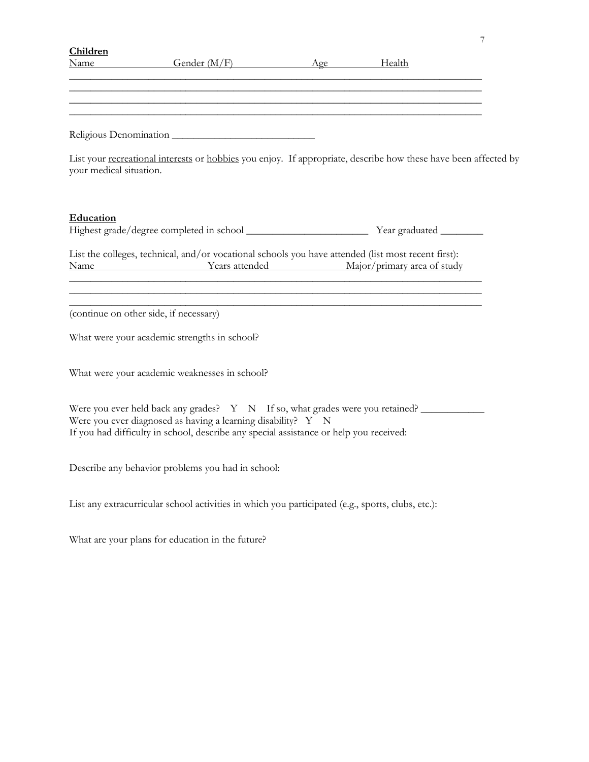| Children                |                                                                                                                                                                                                                                            |  |  |
|-------------------------|--------------------------------------------------------------------------------------------------------------------------------------------------------------------------------------------------------------------------------------------|--|--|
|                         | Name Gender (M/F) Age Health                                                                                                                                                                                                               |  |  |
|                         | ,我们也不能在这里的时候,我们也不能在这里的时候,我们也不能在这里的时候,我们也不能会不能在这里的时候,我们也不能会不能会不能会不能会不能会不能会不能会不能会不                                                                                                                                                           |  |  |
|                         |                                                                                                                                                                                                                                            |  |  |
|                         |                                                                                                                                                                                                                                            |  |  |
|                         | Religious Denomination                                                                                                                                                                                                                     |  |  |
| your medical situation. | List your recreational interests or hobbies you enjoy. If appropriate, describe how these have been affected by                                                                                                                            |  |  |
| Education               |                                                                                                                                                                                                                                            |  |  |
|                         | List the colleges, technical, and/or vocational schools you have attended (list most recent first):<br>Name Years attended Major/primary area of study<br>,我们也不能在这里的时候,我们也不能在这里的时候,我们也不能会在这里,我们也不能会在这里的时候,我们也不能会在这里的时候,我们也不能会在这里的时候,我们也不能会 |  |  |
|                         | (continue on other side, if necessary)                                                                                                                                                                                                     |  |  |
|                         | What were your academic strengths in school?                                                                                                                                                                                               |  |  |
|                         | What were your academic weaknesses in school?                                                                                                                                                                                              |  |  |
|                         | Were you ever held back any grades? Y N If so, what grades were you retained?<br>Were you ever diagnosed as having a learning disability? Y N<br>If you had difficulty in school, describe any special assistance or help you received:    |  |  |
|                         | Describe any behavior problems you had in school:                                                                                                                                                                                          |  |  |
|                         | List any extracurricular school activities in which you participated (e.g., sports, clubs, etc.):                                                                                                                                          |  |  |
|                         | What are your plans for education in the future?                                                                                                                                                                                           |  |  |
|                         |                                                                                                                                                                                                                                            |  |  |
|                         |                                                                                                                                                                                                                                            |  |  |
|                         |                                                                                                                                                                                                                                            |  |  |
|                         |                                                                                                                                                                                                                                            |  |  |

7